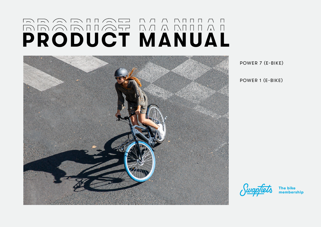# **PRODUCT MANUAL**



POWER 7 (E-BIKE)

POWER 1 (E-BIKE)



**The bike membership**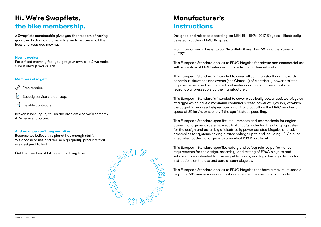# **Hi. We're Swapfiets, the bike membership.**

A Swapfiets membership gives you the freedom of having your own high quality bike, while we take care of all the hassle to keep you moving.

### **How it works:**

For a fixed monthly fee, you get your own bike & we make sure it always works. Easy.

### **Members also get:**

Free repairs.

Speedy service via our app.

Flexible contracts.

Broken bike? Log in, tell us the problem and we'll come fix it. Wherever you are.

### **And no - you can't buy our bikes.**

Because we believe this planet has enough stuff. We choose to use and re-use high quality products that are designed to last.

Get the freedom of biking without any fuss.



# **Manufacturer's Instructions**

Designed and released according to: NEN-EN 15194: 2017 Bicycles - Electrically assisted bicycles - EPAC Bicycles.

From now on we will refer to our Swapfiets Power 1 as 'P1' and the Power 7 as "P7".

This European Standard applies to EPAC bicycles for private and commercial use with exception of EPAC intended for hire from unattended station.

This European Standard is intended to cover all common significant hazards, hazardous situations and events (see Clause 4) of electrically power assisted bicycles, when used as intended and under condition of misuse that are reasonably foreseeable by the manufacturer.

This European Standard is intended to cover electrically power assisted bicycles of a type which have a maximum continuous rated power of 0,25 kW, of which the output is progressively reduced and finally cut off as the EPAC reaches a speed of 25 km/h, or sooner, if the cyclist stops pedalling.

This European Standard specifies requirements and test methods for engine power management systems, electrical circuits including the charging system for the design and assembly of electrically power assisted bicycles and subassemblies for systems having a rated voltage up to and including 48 V d.c. or integrated battery charger with a nominal 230 V a.c. input.

This European Standard specifies safety and safety related performance requirements for the design, assembly, and testing of EPAC bicycles and subassemblies intended for use on public roads, and lays down guidelines for instructions on the use and care of such bicycles.

This European Standard applies to EPAC bicycles that have a maximum saddle height of 635 mm or more and that are intended for use on public roads.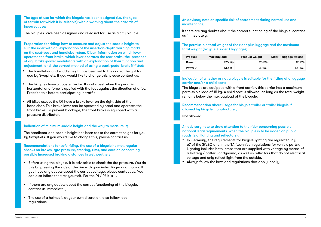The type of use for which the bicycle has been designed (i.e. the type of terrain for which it is suitable) with a warning about the hazards of incorrect use;

The bicycles have been designed and released for use as a citu bicucle.

Preparation for riding: how to measure and adjust the saddle height to suit the rider with an explanation of the insertion-depth warning marks on the seat-post and handlebar-stem. Clear information on which lever operates the front brake, which lever operates the rear brake, the presence of any brake-power modulators with an explanation of their function and adjustment, and the correct method of using a back-pedal brake if fitted;

- The handlebar and saddle height has been set to the correct height for you by Swapfiets. If you would like to change this, please contact us.
- The bicycles have a coaster brake. It works best when the pedal is horizontal and force is applied with the foot against the direction of drive. Practice this before participating in traffic.
- All bikes except the O1 have a brake lever on the right side of the handlebar. This brake lever can be operated by hand and operates the front brake. To prevent blockage, the front brake is equipped with a pressure distributor.

### Indication of minimum saddle height and the way to measure it;

The handlebar and saddle height has been set to the correct height for you by Swapfiets. If you would like to change this, please contact us.

Recommendations for safe riding, the use of a bicycle helmet, regular checks on brakes, tyre pressure, steering, rims, and caution concerning possible increased braking distances in wet weather;

- Before using the bicycle, it is advisable to check the tire pressure. You do this by pressing the side of the tire with your index finger and thumb. If you have any doubts about the correct voltage, please contact us. You can also inflate the tires yourself. For the P1 / P7 it is 4.
- If there are any doubts about the correct functioning of the bicycle, contact us immediately.
- The use of a helmet is at your own discretion, also follow local regulations.

### An advisory note on specific risk of entrapment during normal use and maintenance;

If there are any doubts about the correct functioning of the bicycle, contact us immediately.

### The permissible total weight of the rider plus luggage and the maximum total weight (bicycle + rider + luggage);

| Product | Max payload | <b>Product weight</b> | Rider + luggage weight |
|---------|-------------|-----------------------|------------------------|
| Power 1 | 120 KG      | 25 KG                 | 95 KG                  |
| Power 7 | 130 KG      | 30 KG                 | 100 KG                 |

### Indication of whether or not a bicycle is suitable for the fitting of a luggage carrier and/or a child seat;

The bicycles are equipped with a front carrier, this carrier has a maximum permissible load of 15 kg. A child seat is allowed, as long as the total weight remains below the max payload of the bicucle.

Recommendation about usage for bicycle trailer or trailer bicycle if allowed by bicycle manufacturer;

Not allowed.

An advisory note to draw attention to the rider concerning possible national legal requirements when the bicycle is to be ridden on public roads (e.g. lighting and reflectors);

- In Germany, the requirements for bicycle lighting are regulated in § 67 of the StVZO and in the TA (technical regulations for vehicle parts). Lighting includes both lamps that are supplied with voltage by means of a battery / battery or dynamo, as well as reflectors that do not electrical voltage and only reflect light from the outside.
- Always follow the laws and regulations that apply locally.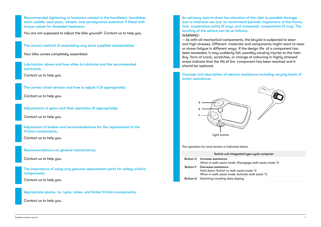Recommended tightening of fasteners related to the handlebar, handlebar stem, saddle, seat-post, wheels, and aerodynamic extension if fitted with torque values for threaded fasteners;

You are not supposed to adjust the bike yourself. Contact us to help you.

The correct method of assembling any parts supplied unassembled;

Your bike comes completely assembled.

Lubrication: where and how often to lubricate and the recommended lubricants;

Contact us to help you.

The correct chain tension and how to adjust it (if appropriate);

Contact us to help you.

Adjustments of gears and their operation (if appropriate);

Contact us to help you.

Adjustment of brakes and recommendations for the replacement of the friction components;

Contact us to help you.

Recommendations on general maintenance;

Contact us to help you.

The importance of using only genuine replacement parts for safety-critical components;

Contact us to help you.

Appropriate spares, i.e. tyres, tubes, and brake friction-components;

Contact us to help you.

An advisory note to draw the attention of the rider to possible damage due to intensive use and to recommend periodic inspections of the frame, fork, suspensions joints (if any), and composite components (if any). The wording of the advice can be as follows: WARNING:

 $-$  As with all mechanical components, the bicucle is subjected to wear and high stresses. Different materials and components might react to wear or stress fatigue in different ways. If the design life of a component has been exceeded, it may suddenly fail, possibly causing injuries to the rider. Any form of crack, scratches, or change of colouring in highly stressed areas indicate that the life of the component has been reached and it should be replaced.

Concept and description of electric assistance including varying levels of motor assistance;



The operation for each button is indicated below.

| Switch unit integrated type cycle computer |                                                                                                                      |  |  |
|--------------------------------------------|----------------------------------------------------------------------------------------------------------------------|--|--|
| Button-X                                   | Increase assistance<br>When in walk assist mode: Disengage walk assist mode *2                                       |  |  |
| Button-Y                                   | Decrease assistance<br>Hold down: Switch to walk assist mode *2<br>When in walk assist mode: Activate walk assist *2 |  |  |
| Button-A                                   | Switching traveling data display                                                                                     |  |  |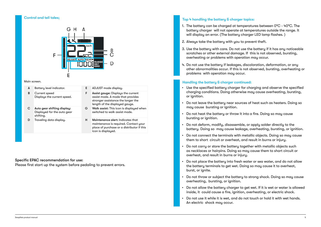### Control and tell tales;



| A | Battery level indicator.                                                | E. | ADJUST mode display.                                                                                                                            |
|---|-------------------------------------------------------------------------|----|-------------------------------------------------------------------------------------------------------------------------------------------------|
| в | Current speed<br>Displays the current speed.                            | F  | Assist gauge: Displays the current<br>assist mode. A mode that provides<br>stronger assistance the longer the<br>length of the displayed gauge. |
| С | Auto gear shifting display:<br>Displayed for the auto gear<br>shifting. | G  | Walk assist: This icon is displayed when<br>switched to walk assist mode.                                                                       |
| D | Traveling data display.                                                 | н  | Maintenance alert: Indicates that<br>maintenance is required. Contact your<br>place of purchase or a distributor if this<br>icon is displayed.  |

### Specific EPAC recommendation for use:

Please first start up the system before pedaling to prevent errors.

### Top 4 handling the battery & charger topics:

- 1. The battery can be charged at temperatures between 0°C 40°C. The battery charger will not operate at temperatures outside the range. It will display an error. (The battery charger LED lamp flashes.)
- 2. Always take the battery with you to prevent theft.
- 3. Use the battery with care. Do not use the battery if it has any noticeable scratches or other external damage. If this is not observed, bursting, overheating or problems with operation may occur.
- 4. Do not use the battery if leakages, discoloration, deformation, or any other abnormalities occur. If this is not observed, bursting, overheating or problems with operation may occur.

### Main screen. The battery & charger continued:

- Use the specified battery charger for charging and observe the specified charging conditions. Doing otherwise may cause overheating, bursting, or ianition.
- Do not leave the battery near sources of heat such as heaters. Doing so may cause bursting or ignition.
- Do not heat the battery or throw it into a fire. Doina so may cause bursting or ignition.
- Do not deform, modify, disassemble, or apply solder directly to the battery. Doing so may cause leakage, overheating, bursting, or ignition.
- Do not connect the terminals with metallic objects. Doing so may cause them to short circuit or overheat, and result in burns or injury.
- Do not carry or store the battery together with metallic objects such as necklaces or hairpins. Doing so may cause them to short circuit or overheat, and result in burns or injury.
- Do not place the battery into fresh water or sea water, and do not allow the battery terminals to get wet. Doing so may cause it to overheat, burst, or ignite.
- Do not throw or subject the battery to strong shock. Doing so may cause overheating, bursting, or ignition.
- Do not allow the battery charger to get wet. If it is wet or water is allowed inside, it could cause a fire, ignition, overheating, or electric shock.
- Do not use it while it is wet, and do not touch or hold it with wet hands. An electric shock may occur.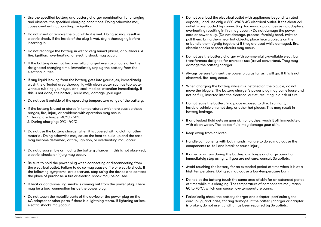- Use the specified battery and battery charger combination for charging and observe the specified charging conditions. Doing otherwise may cause overheating, bursting, or ignition.
- Do not insert or remove the plug while it is wet. Doing so may result in electric shock. If the inside of the plug is wet, dry it thoroughly before inserting it.
- Do not recharge the battery in wet or very humid places, or outdoors. A fire, ignition, overheating, or electric shock may occur.
- If the battery does not become fully charged even two hours after the designated charging time, immediately unplug the battery from the electrical outlet.
- If any liquid leaking from the battery gets into your eyes, immediately wash the affected area thoroughly with clean water such as tap water without rubbing your eyes, and seek medical attention immediately. If this is not done, the battery liquid may damage your eyes.
- Do not use it outside of the operating temperature range of the battery.
- If the battery is used or stored in temperatures which are outside these ranges, fire, injury or problems with operation may occur. 1. During discharge: -10°C - 50°C 2. During charging: 0°C - 40°C
- Do not use the battery charger when it is covered with a cloth or other material. Doing otherwise may cause the heat to build up and the case may become deformed, or fire, janition, or overheating may occur.
- Do not disassemble or modify the battery charger. If this is not observed, electric shocks or injury may occur.
- Be sure to hold the power plug when connecting or disconnecting from the electrical outlet. Failure to do so may cause a fire or electric shock. If the following symptoms are observed, stop using the device and contact the place of purchase. A fire or electric shock may be caused.
- If heat or acrid-smelling smoke is coming out from the power plug. There may be a bad connection inside the power plug.
- Do not touch the metallic parts of the device or the power plug on the AC adapter or other parts if there is a lightning storm. If lightning strikes, electric shocks may occur.
- Do not overload the electrical outlet with appliances beyond its rated capacity, and use only a 220-240 V AC electrical outlet. If the electrical outlet is overloaded by connecting too many appliances using adapters, overheating resulting in fire may occur. • Do not damage the power cord or power plug. (Do not damage, process, forcibly bend, twist or pull them, bring them near hot objects, place heavy objects on them or bundle them tightly together.) If they are used while damaged, fire, electric shocks or short circuits may occur.
- Do not use the battery charger with commercially-available electrical transformers designed for overseas use (travel converters). They may damage the battery charger.
- Always be sure to insert the power plug as far as it will go. If this is not observed, fire may occur.
- When charging the battery while it is installed on the bicycle, do not move the bicycle. The battery charger's power plug may come loose and not be fully inserted into the electrical outlet, resulting in a risk of fire.
- Do not leave the battery in a place exposed to direct sunlight, inside a vehicle on a hot day, or other hot places. This may result in battery leakage.
- If any leaked fluid gets on your skin or clothes, wash it off immediately with clean water. The leaked fluid may damage your skin.
- Keep away from children.
- Handle components with both hands. Failure to do so may cause the components to fall and break or cause injury.
- If an error occurs during the battery discharge or charge operation, immediately stop using it. If you are not sure, consult Swapfiets.
- Avoid touching the battery for an extended period of time when it is at a high temperature. Doing so may cause a low-temperature burn
- Do not let the battery touch the same area of skin for an extended period of time while it is charging. The temperature of components may reach 40 to 70°C, which can cause low-temperature burns.
- Periodically check the battery charger and adapter, particularly the cord, plug, and case, for any damage. If the battery charger or adapter is broken, do not use it until it has been repaired by Swapfiets.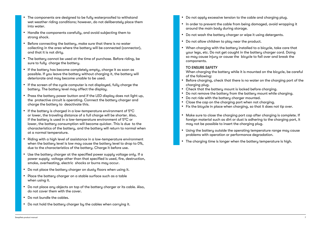- The components are designed to be fully waterproofed to withstand wet weather riding conditions; however, do not deliberately place them into water.
- Handle the components carefully, and avoid subjecting them to strong shock.
- Before connecting the battery, make sure that there is no water collecting in the area where the battery will be connected (connector), and that it is not dirty.
- The battery cannot be used at the time of purchase. Before riding, be sure to fully charge the battery.
- If the battery has become completely empty, charge it as soon as possible. If you leave the battery without charging it, the battery will deteriorate and may become unable to be used.
- If the screen of the cycle computer is not displayed, fully charge the battery. The battery level may affect the display.
- Press the battery power button and if the LED display does not light up, the protective circuit is operating. Connect the battery charger and charge the battery to deactivate this.
- If the battery is charged in a low-temperature environment of 5°C or lower, the traveling distance of a full charge will be shorter. Also, if the battery is used in a low-temperature environment of 5°C or lower, the battery consumption will become quicker. This is due to the characteristics of the battery, and the battery will return to normal when at a normal temperature.
- Riding with a high level of assistance in a low-temperature environment when the battery level is low may cause the battery level to drop to 0%. due to the characteristics of the battery. Charge it before use.
- Use the battery charger at the specified power supply voltage only. If a power supply voltage other than that specified is used, fire, destruction, smoke, overheating, electric shocks or burns may occur.
- Do not place the battery charger on dusty floors when using it.
- Place the battery charger on a stable surface such as a table when using it.
- Do not place any objects on top of the battery charger or its cable. Also, do not cover them with the cover.
- Do not bundle the cables.
- Do not hold the battery charger by the cables when carrying it.
- Do not apply excessive tension to the cable and charging plug.
- In order to prevent the cable from being damaged, avoid wrapping it around the main body during storage.
- Do not wash the battery charger or wipe it using detergents.
- Do not allow children to play near the product.
- When charging with the battery installed to a bicycle, take care that your legs, etc. Do not get caught in the battery charger cord. Doing so may cause injury or cause the bicycle to fall over and break the components.

### TO ENSURE SAFETY

When charging the battery while it is mounted on the bicycle, be careful of the following:

- Before charging, check that there is no water on the charging port of the charging plug.
- Check that the battery mount is locked before charging.
- Do not remove the battery from the battery mount while charging.
- Do not ride with the battery charger mounted.
- Close the cap on the charging port when not charging.
- Fix the bicycle in place when charging, so that it does not tip over.
- Make sure to close the charging port cap after charging is complete. If foreign material such as dirt or dust is adhering to the charging port, it may not be possible to insert the charging plug.
- Using the battery outside the operating temperature range may cause problems with operation or performance degradation.
- The charging time is longer when the battery temperature is high.